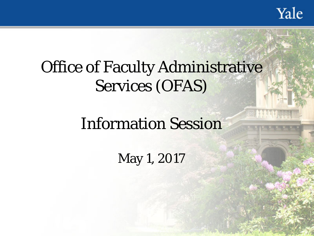Yale

## Office of Faculty Administrative Services (OFAS)

### Information Session

May 1, 2017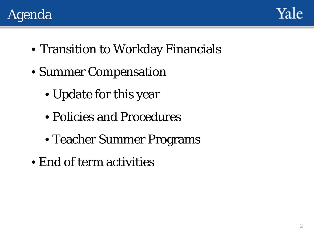



- Transition to Workday Financials
- Summer Compensation
	- Update for this year
	- Policies and Procedures
	- Teacher Summer Programs
- End of term activities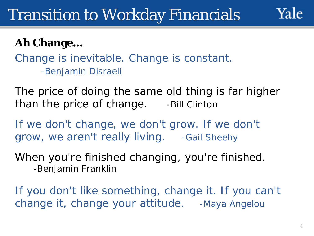#### **Ah Change…**

Change is inevitable. Change is constant. *-Benjamin Disraeli*

The price of doing the same old thing is far higher than the price of change. *-Bill Clinton*

If we don't change, we don't grow. If we don't grow, we aren't really living. *-Gail Sheehy*

When you're finished changing, you're finished. *-Benjamin Franklin*

If you don't like something, change it. If you can't change it, change your attitude. *-Maya Angelou*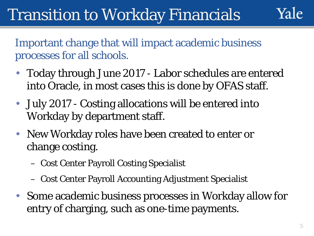Yale

Important change that will impact academic business processes for all schools.

- Today through June 2017 Labor schedules are entered into Oracle, in most cases this is done by OFAS staff.
- July 2017 Costing allocations will be entered into Workday by department staff.
- New Workday roles have been created to enter or change costing.
	- Cost Center Payroll Costing Specialist
	- Cost Center Payroll Accounting Adjustment Specialist
- Some academic business processes in Workday allow for entry of charging, such as one-time payments.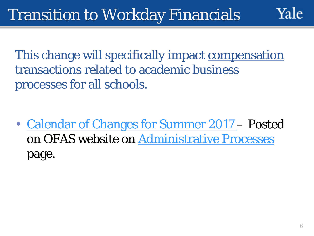This change will specifically impact compensation transactions related to academic business processes for all schools.

• [Calendar of Changes for Summer 2017](http://facultyadmin.yale.edu/calendar-changes-summer-2017) – Posted on OFAS website on [Administrative Processes](http://facultyadmin.yale.edu/admin-processes) page.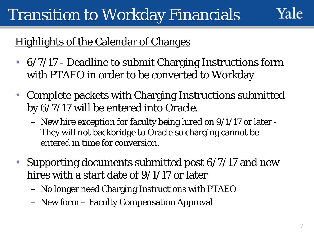### Yale

#### **Highlights of the Calendar of Changes**

- 6/7/17 Deadline to submit Charging Instructions form with PTAEO in order to be converted to Workday
- Complete packets with Charging Instructions submitted by 6/7/17 will be entered into Oracle.
	- New hire exception for faculty being hired on 9/1/17 or later They will not backbridge to Oracle so charging cannot be entered in time for conversion.
- Supporting documents submitted post 6/7/17 and new hires with a start date of 9/1/17 or later
	- No longer need Charging Instructions with PTAEO
	- New form Faculty Compensation Approval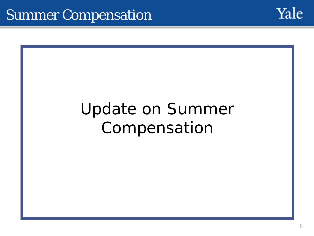

## Update on Summer Compensation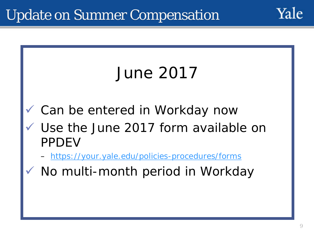

No multi-month period in Workday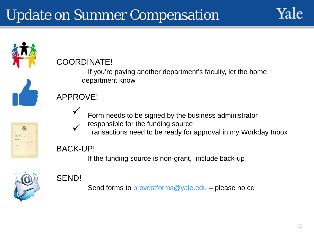## Update on Summer Compensation





If the funding source is non-grant, include back-up



#### SEND!

Send forms to [provostforms@yale.edu](mailto:provostforms@yale.edu) – please no cc!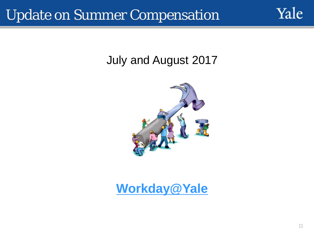### Update on Summer Compensation

#### July and August 2017



#### **[Workday@Yale](mailto:Workday@Yale)**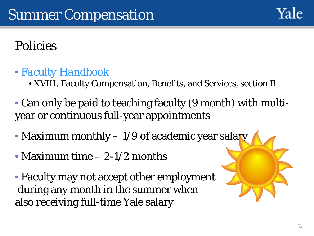

### Policies

- *[Faculty Handbook](http://provost.yale.edu/faculty-handbook)*
	- XVIII. Faculty Compensation, Benefits, and Services, section B
- Can only be paid to teaching faculty (9 month) with multiyear or continuous full-year appointments
- Maximum monthly 1/9 of academic year salary
- Maximum time 2-1/2 months
- Faculty may not accept other employment during any month in the summer when also receiving full-time Yale salary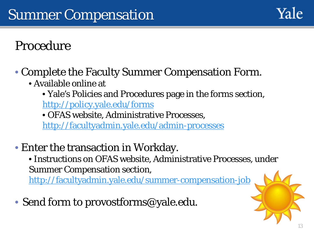

### Procedure

- Complete the Faculty Summer Compensation Form.
	- Available online at
		- Yale's Policies and Procedures page in the forms section, <http://policy.yale.edu/forms>
		- OFAS website, Administrative Processes,

<http://facultyadmin.yale.edu/admin-processes>

- Enter the transaction in Workday.
	- Instructions on OFAS website, Administrative Processes, under Summer Compensation section,

<http://facultyadmin.yale.edu/summer-compensation-job>

• Send form to provostforms@yale.edu.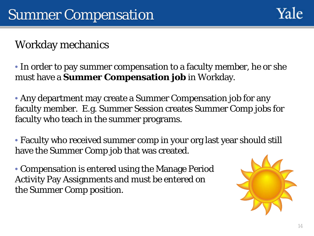#### Workday mechanics

• In order to pay summer compensation to a faculty member, he or she must have a **Summer Compensation job** in Workday.

• Any department may create a Summer Compensation job for any faculty member. E.g. Summer Session creates Summer Comp jobs for faculty who teach in the summer programs.

• Faculty who received summer comp in your org last year should still have the Summer Comp job that was created.

• Compensation is entered using the Manage Period Activity Pay Assignments and must be entered on the Summer Comp position.

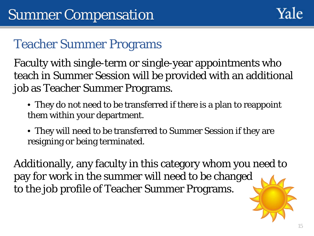

### Teacher Summer Programs

Faculty with single-term or single-year appointments who teach in Summer Session will be provided with an additional job as Teacher Summer Programs.

- They do not need to be transferred if there is a plan to reappoint them within your department.
- They will need to be transferred to Summer Session if they are resigning or being terminated.

Additionally, any faculty in this category whom you need to pay for work in the summer will need to be changed to the job profile of Teacher Summer Programs.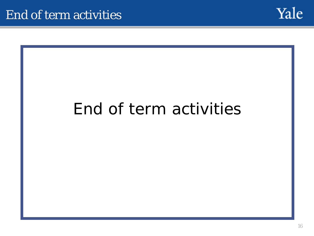

## End of term activities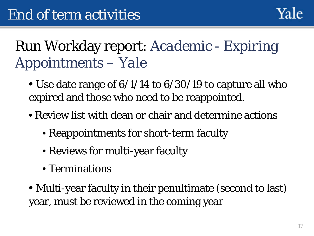## Run Workday report: *Academic - Expiring Appointments – Yale*

- Use date range of  $6/1/14$  to  $6/30/19$  to capture all who expired and those who need to be reappointed.
- Review list with dean or chair and determine actions
	- Reappointments for short-term faculty
	- Reviews for multi-year faculty
	- Terminations
- Multi-year faculty in their penultimate (second to last) year, must be reviewed in the coming year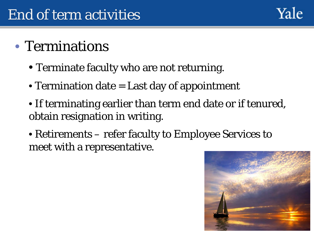#### Yale

### • Terminations

- Terminate faculty who are not returning.
- Termination date = Last day of appointment
- If terminating earlier than term end date or if tenured, obtain resignation in writing.
- Retirements refer faculty to Employee Services to meet with a representative.

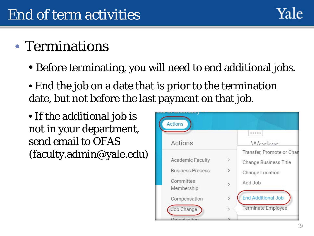

### • Terminations

- Before terminating, you will need to end additional jobs.
- End the job on a date that is prior to the termination date, but not before the last payment on that job.
- If the additional job is not in your department, send email to OFAS (faculty.admin@yale.edu)